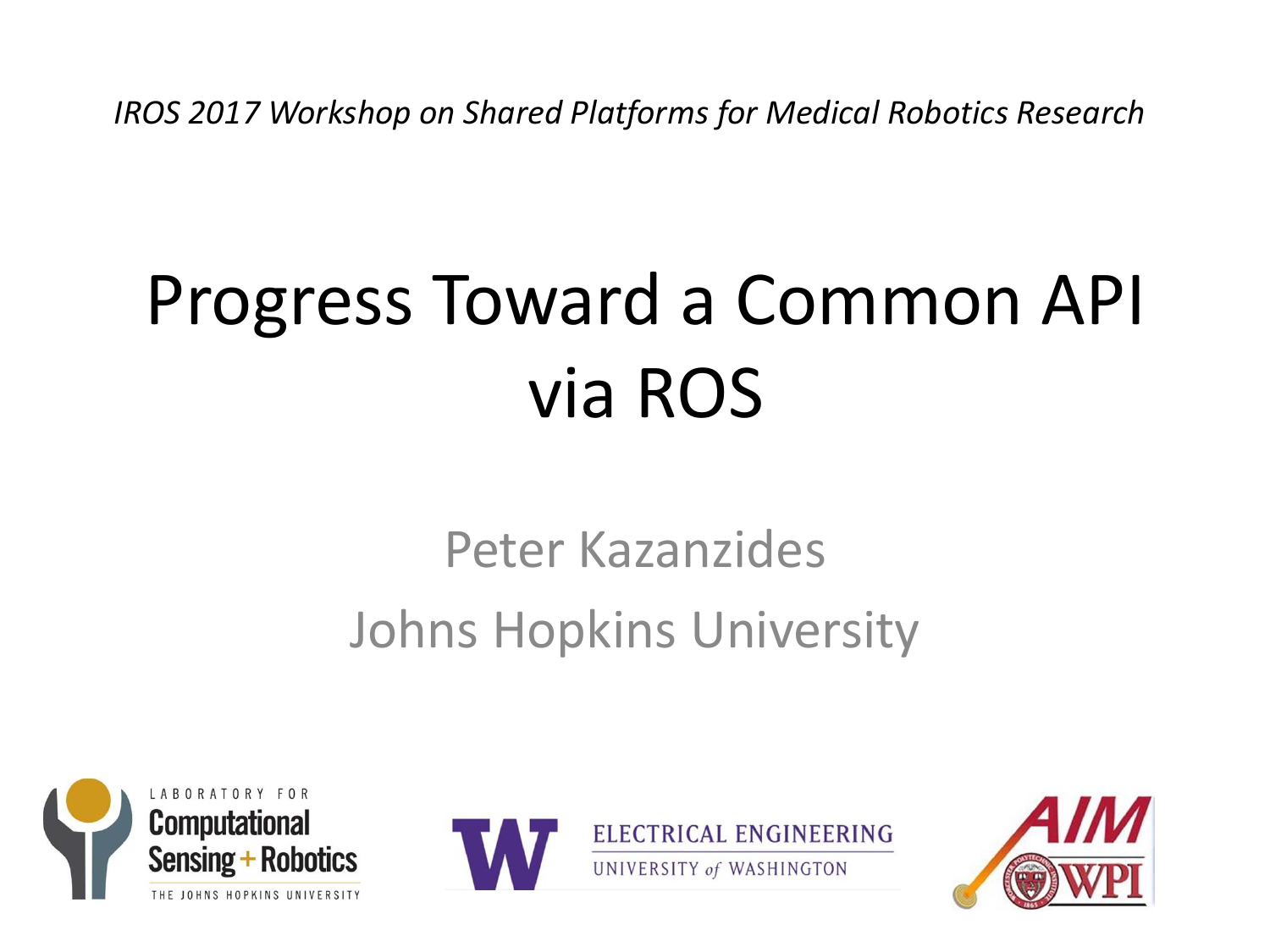*IROS 2017 Workshop on Shared Platforms for Medical Robotics Research*

# Progress Toward <sup>a</sup> Common API via ROS

### Peter KazanzidesJohns Hopkins University





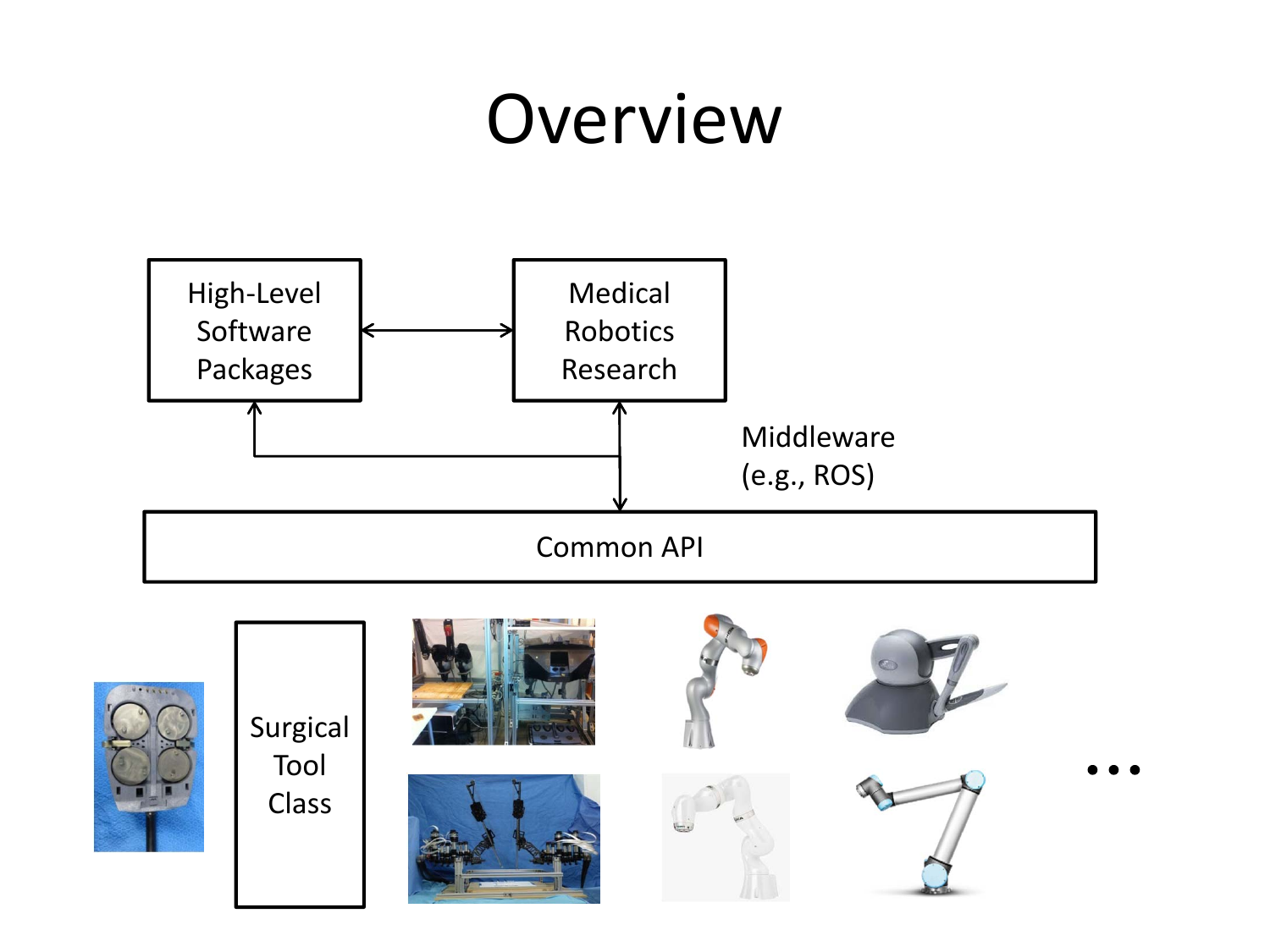## **Overview**



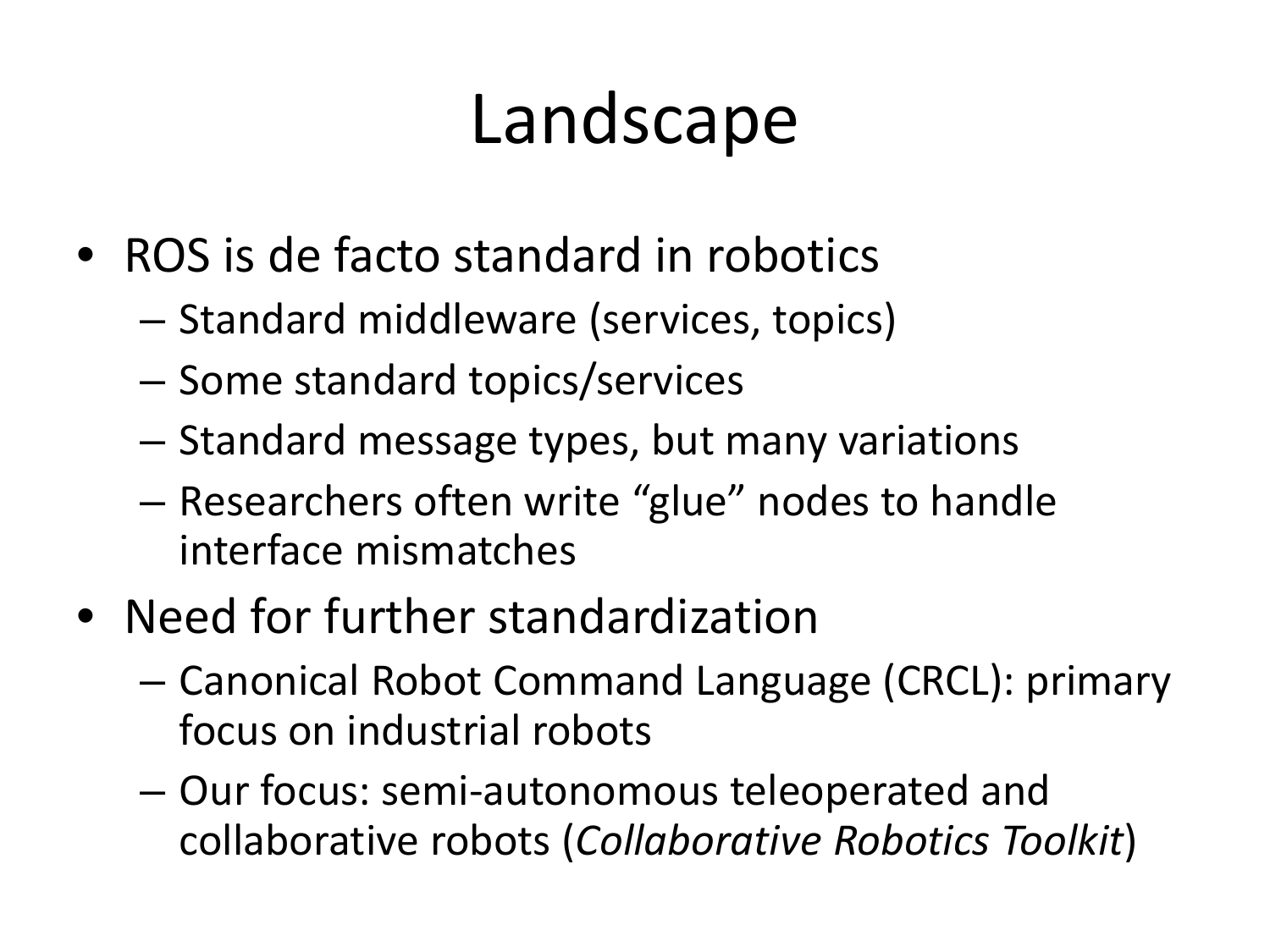## Landscape

- ROS is de facto standard in robotics
	- – $-$  Standard middleware (services, topics)
	- –- Some standard topics/services
	- – $-$  Standard message types, but many variations
	- – Researchers often write "glue" nodes to handle interface mismatches
- Need for further standardization
	- – Canonical Robot Command Language (CRCL): primary focus on industrial robots
	- – Our focus: semi‐autonomous teleoperated and collaborative robots (*Collaborative Robotics Toolkit*)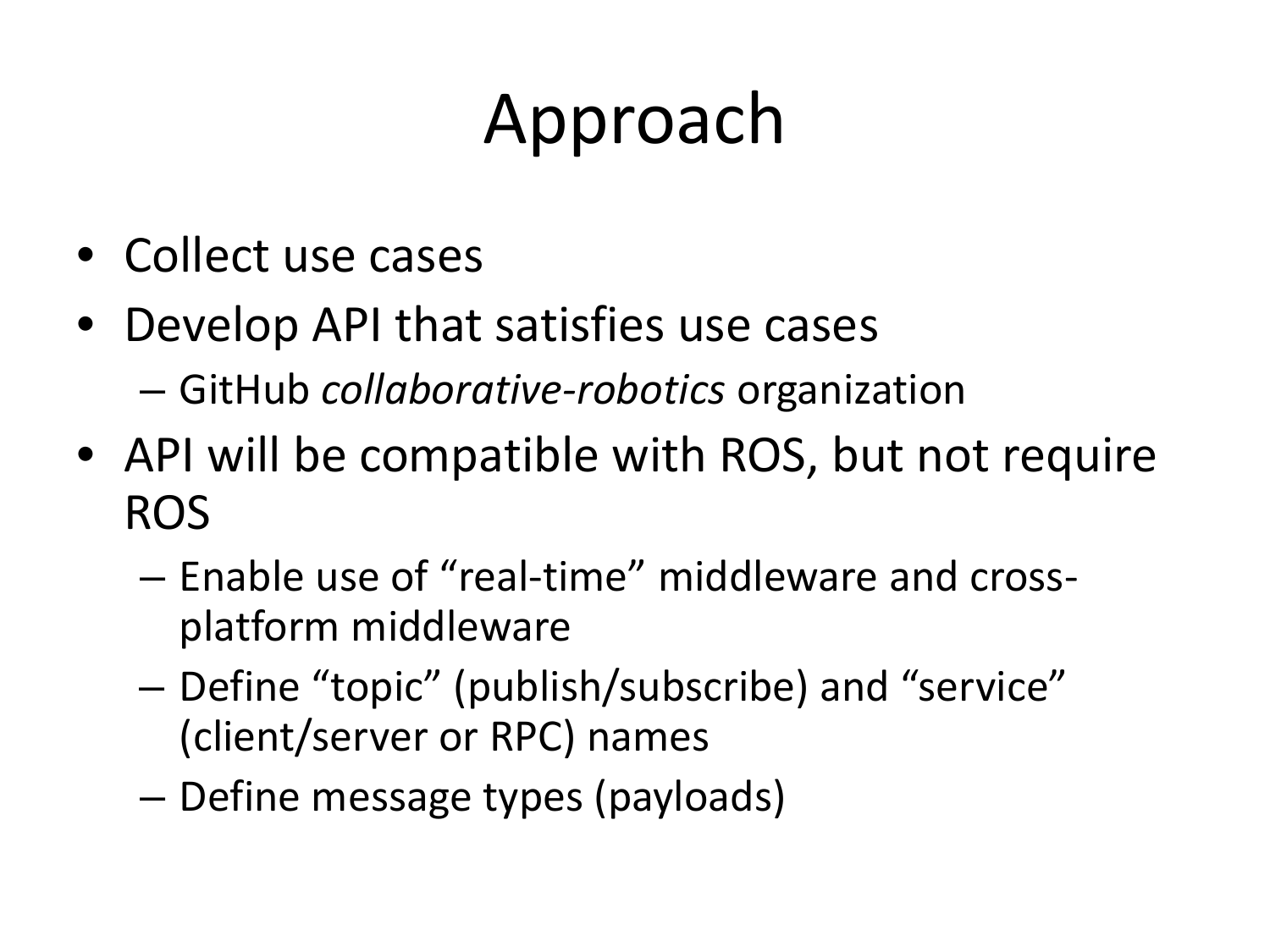## Approach

- Collect use cases
- Develop API that satisfies use cases –GitHub *collaborative‐robotics* organization
- API will be compatible with ROS, but not require ROS
	- Enable use of "real‐time" middleware and cross‐ platform middleware
	- – Define "topic" (publish/subscribe) and "service" (client/server or RPC) names
	- –Define message types (payloads)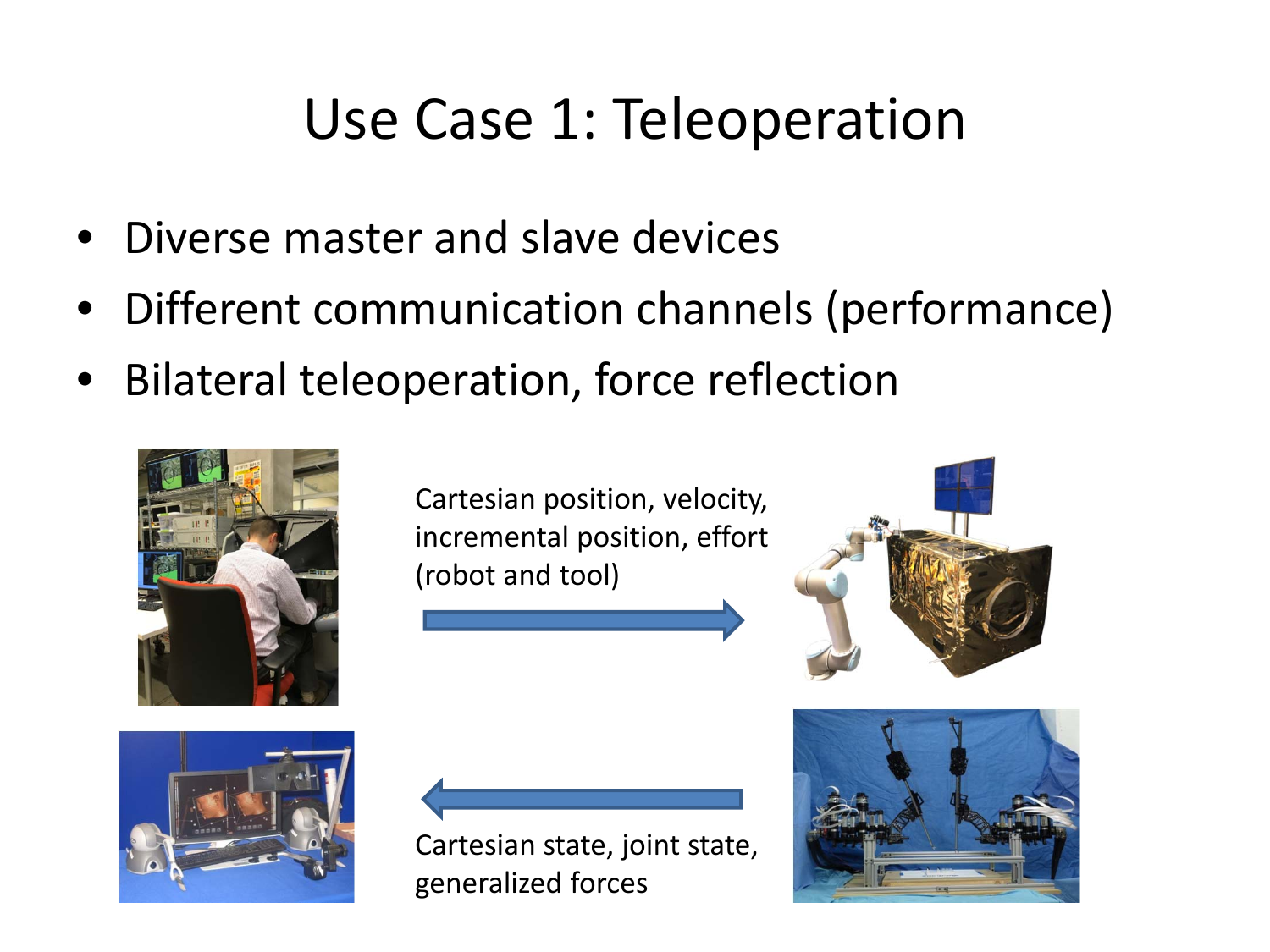#### Use Case 1: Teleoperation

- Diverse master and slave devices
- •Different communication channels (performance)
- •Bilateral teleoperation, force reflection



Cartesian position, velocity, incremental position, effort (robot and tool)





Cartesian state, joint state, generalized forces

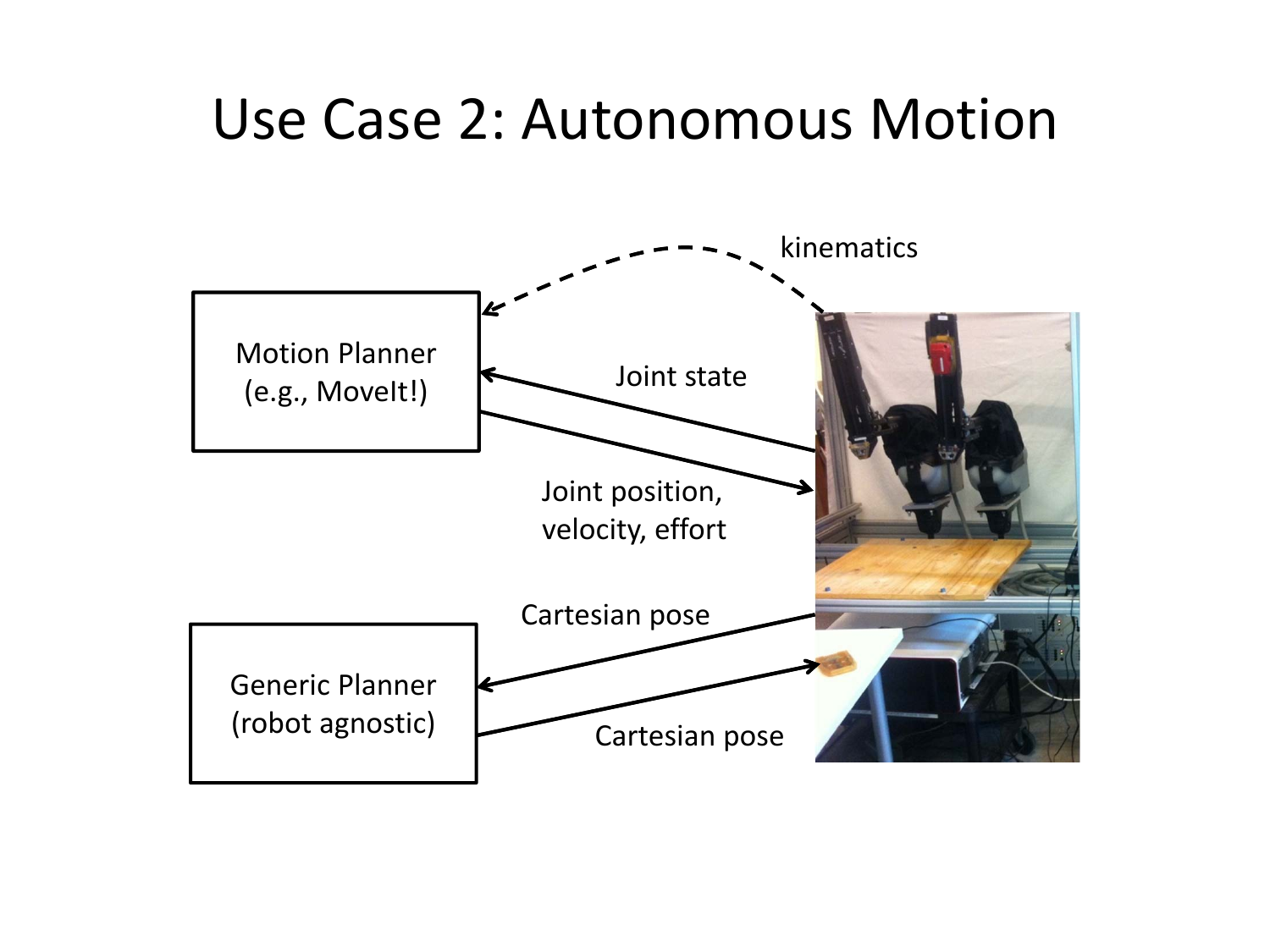#### Use Case 2: Autonomous Motion

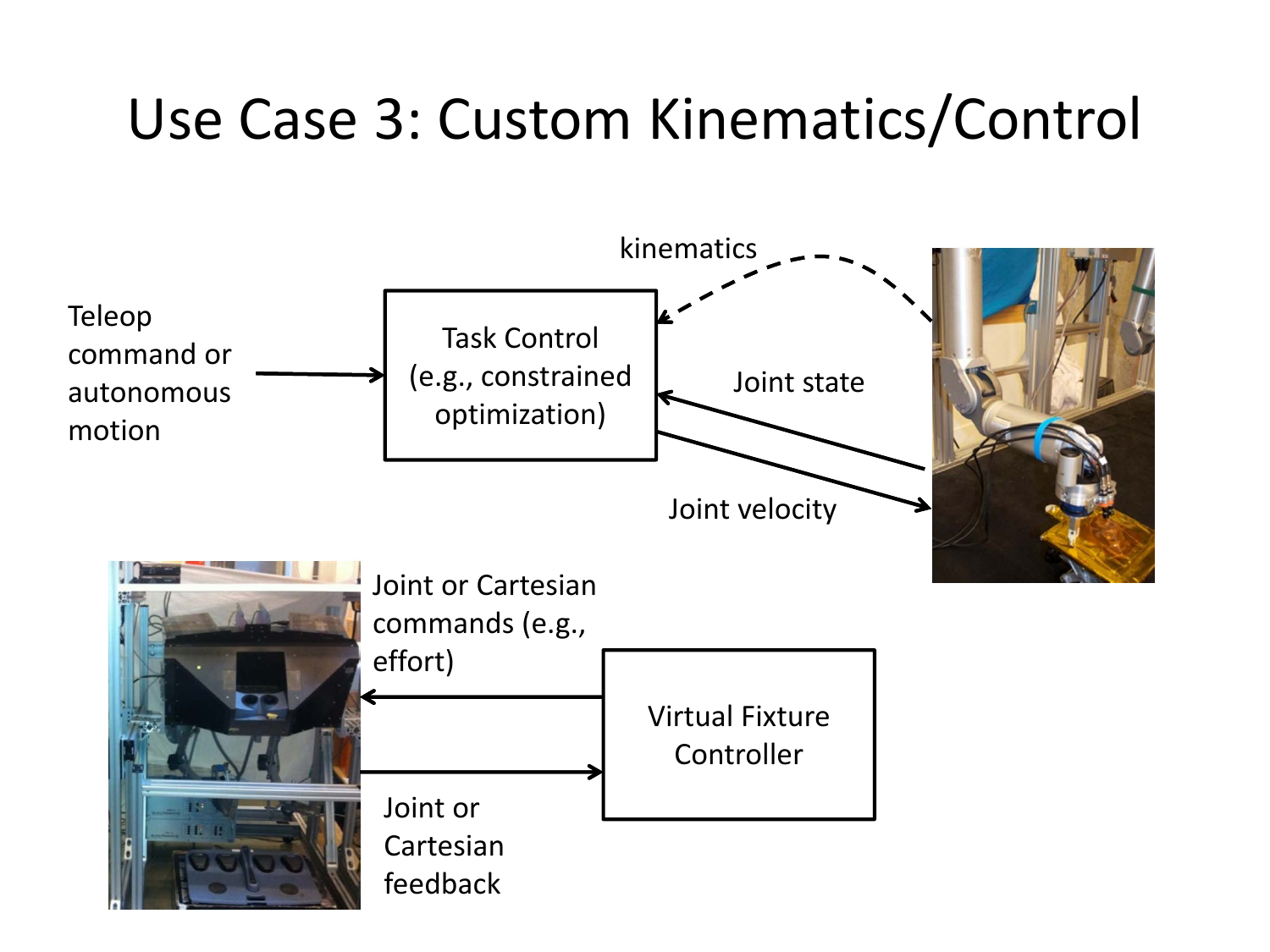### Use Case 3: Custom Kinematics/Control

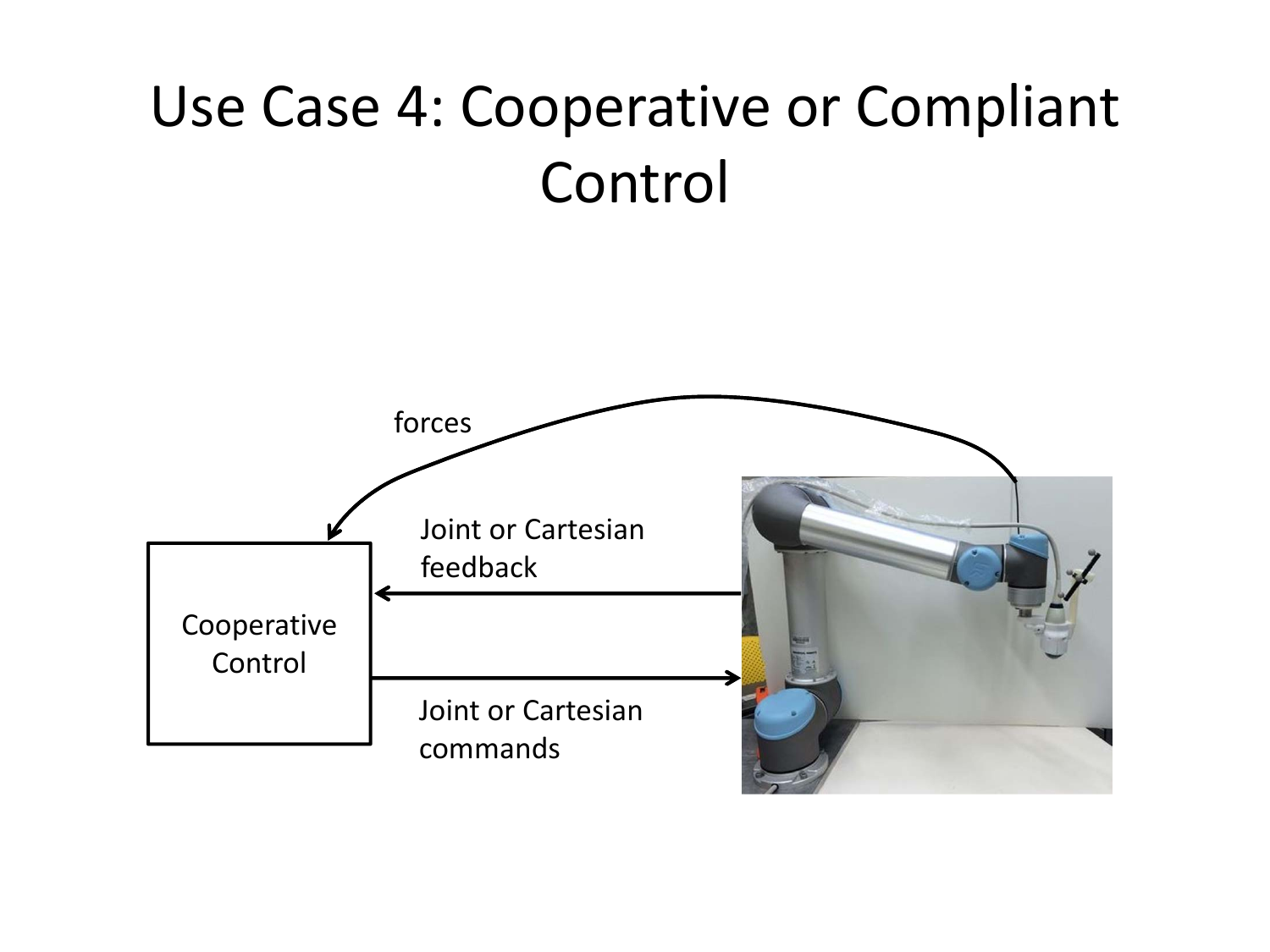### Use Case 4: Cooperative or Compliant Control

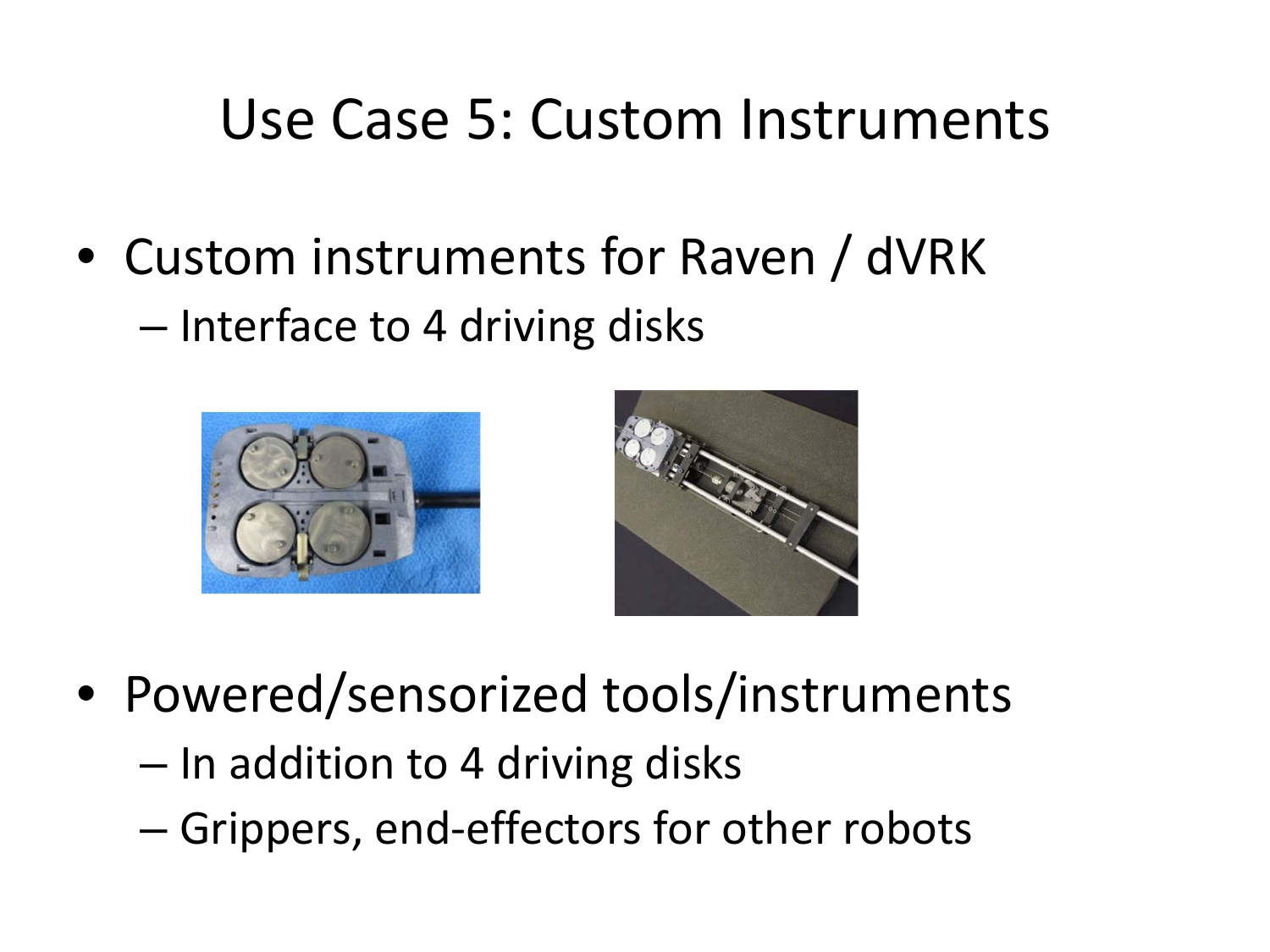#### Use Case 5: Custom Instruments

• Custom instruments for Raven / dVRK – Interface to 4 driving disks





- Powered/sensorized tools/instruments
	- $-$  In addition to 4 driving disks
	- –— Grippers, end-effectors for other robots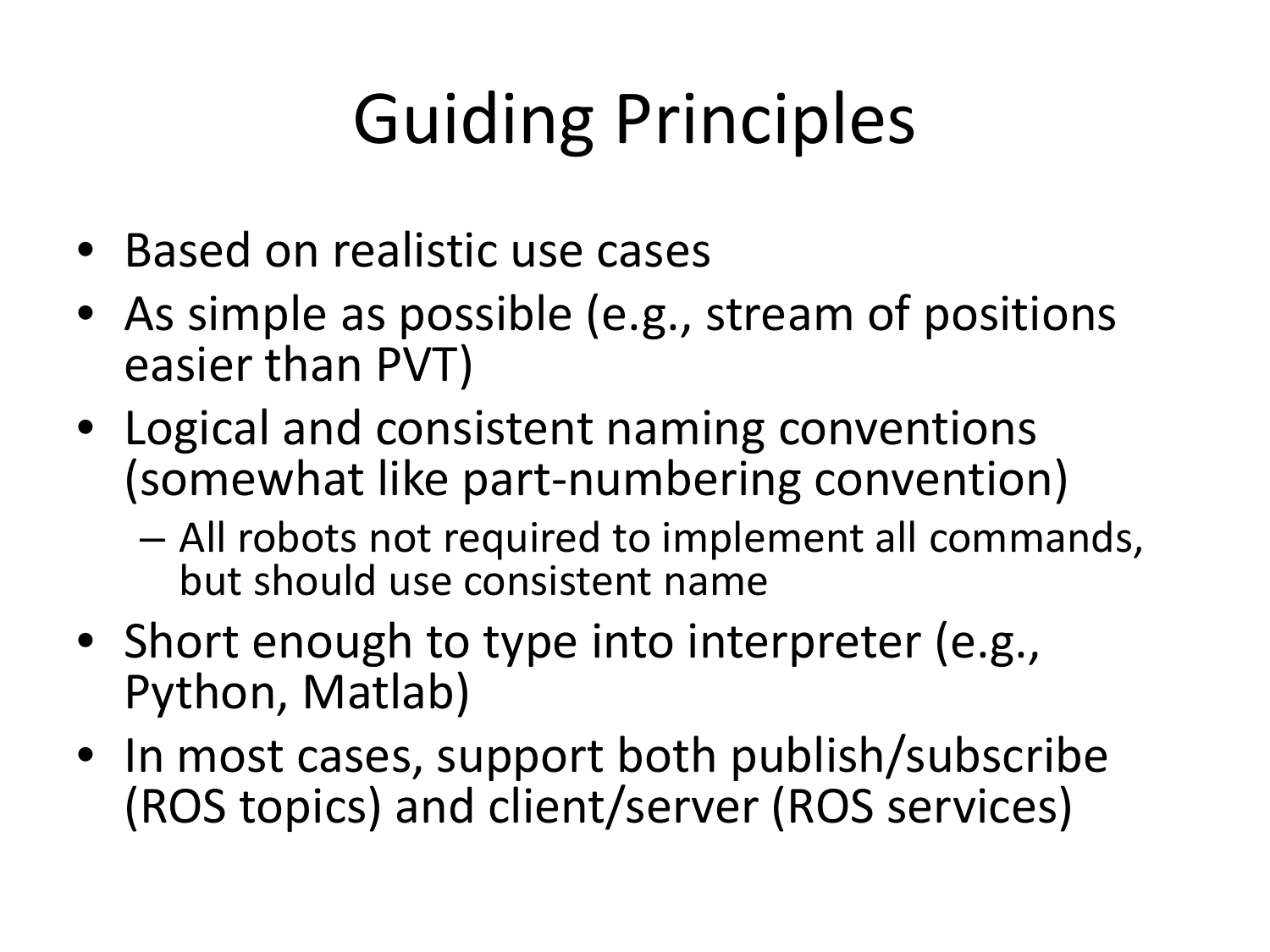# Guiding Principles

- Based on realistic use cases
- As simple as possible (e.g., stream of positions easier than PVT)
- Logical and consistent naming conventions (somewhat like part‐numbering convention)
	- – All robots not required to implement all commands, but should use consistent name
- Short enough to type into interpreter (e.g., Python, Matlab)
- In most cases, support both publish/subscribe (ROS topics) and client/server (ROS services)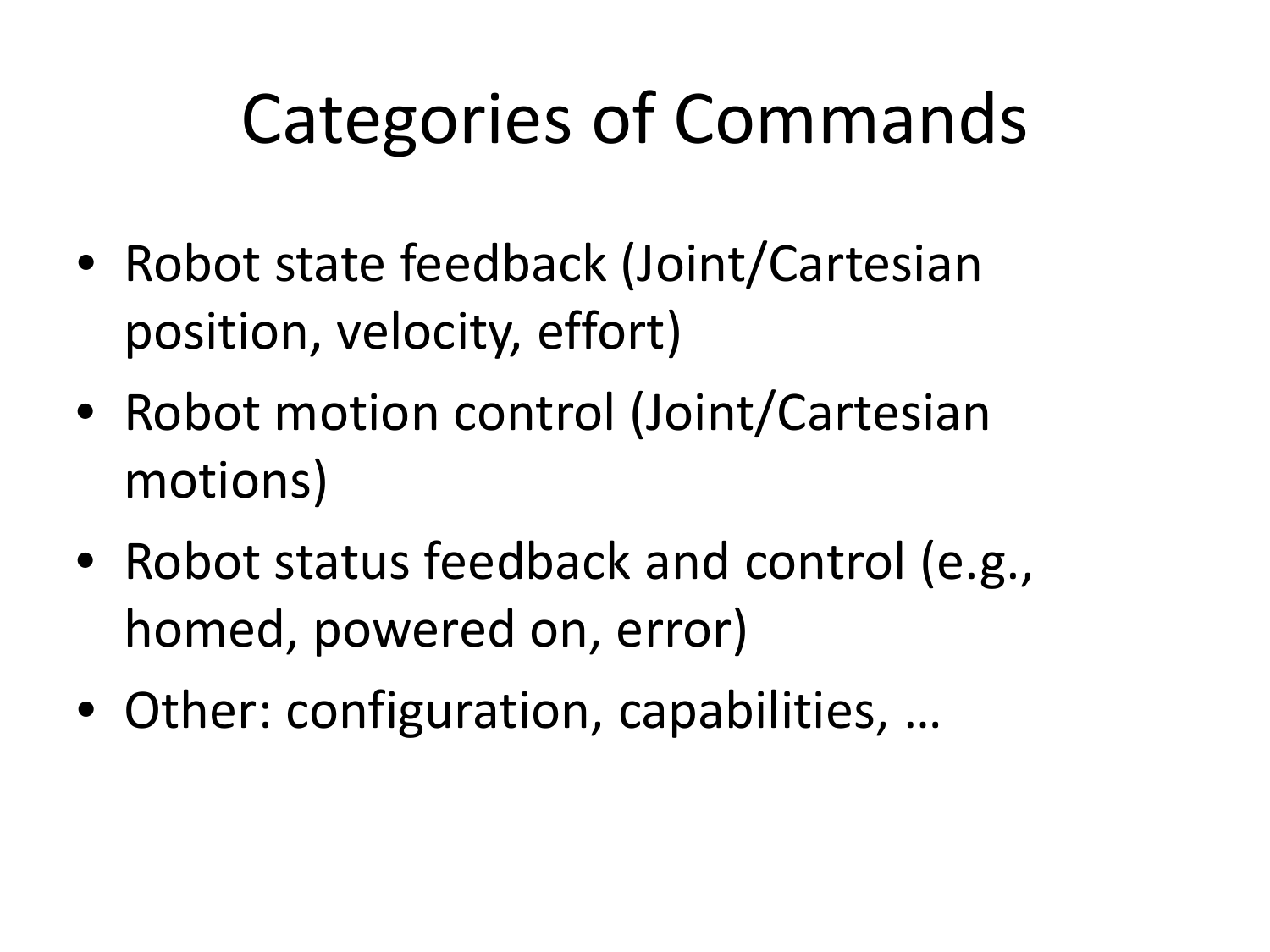## Categories of Commands

- Robot state feedback (Joint/Cartesian position, velocity, effort)
- Robot motion control (Joint/Cartesian motions)
- Robot status feedback and control (e.g., homed, powered on, error)
- Other: configuration, capabilities, …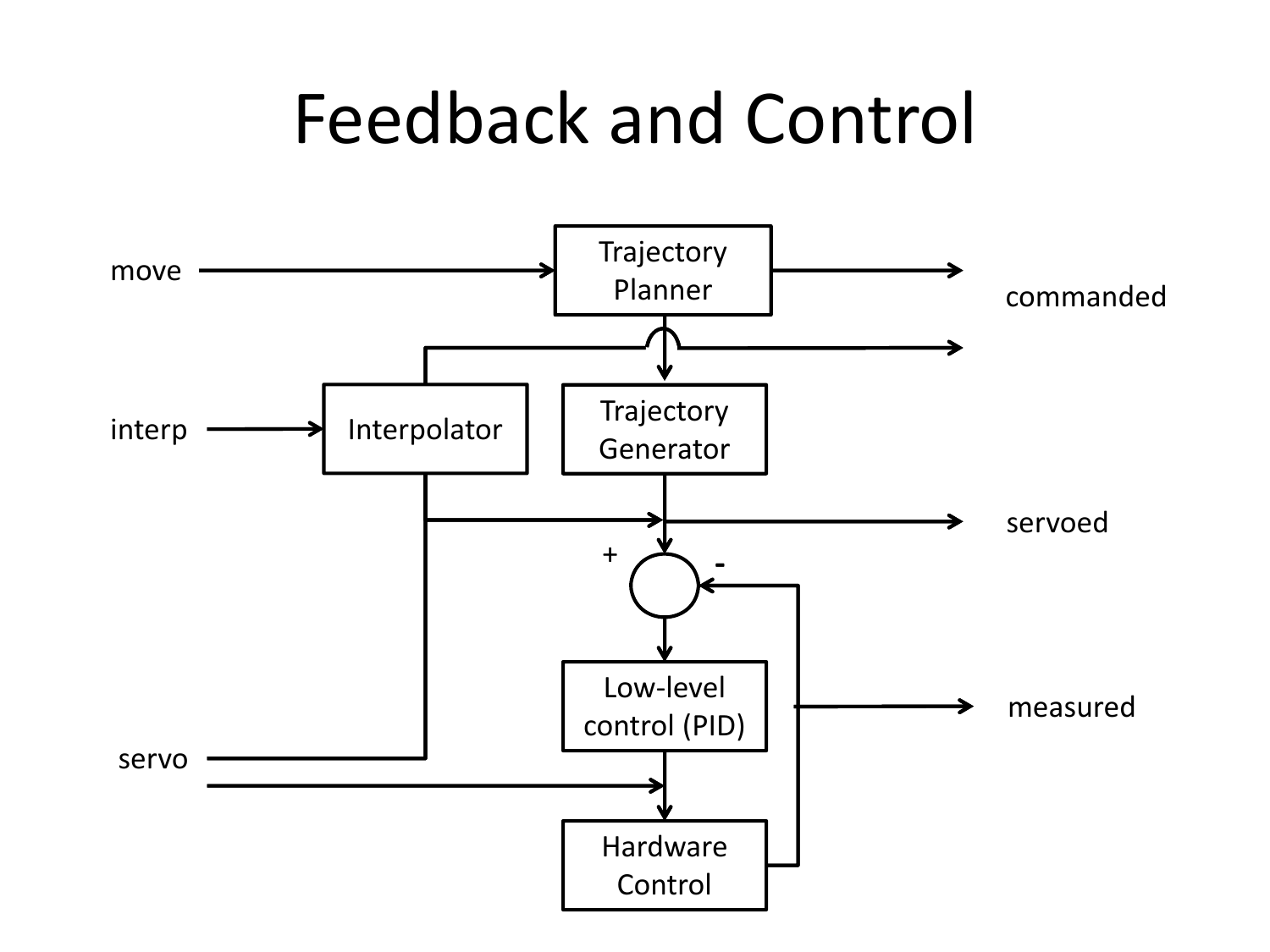### Feedback and Control

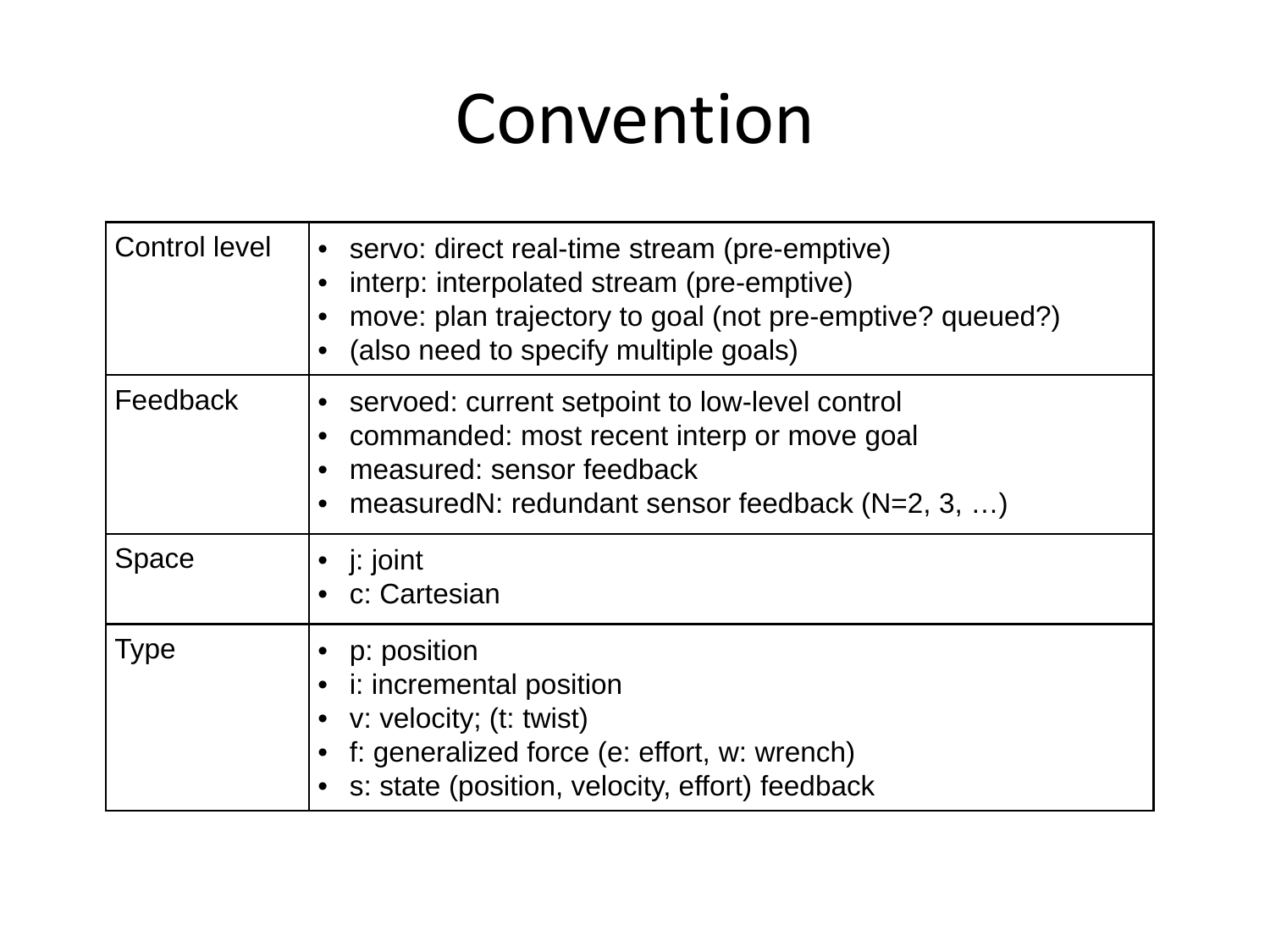## Convention

| <b>Control level</b> | • servo: direct real-time stream (pre-emptive)<br>interp: interpolated stream (pre-emptive)<br>$\bullet$<br>move: plan trajectory to goal (not pre-emptive? queued?)<br>$\bullet$<br>(also need to specify multiple goals)<br>$\bullet$ |
|----------------------|-----------------------------------------------------------------------------------------------------------------------------------------------------------------------------------------------------------------------------------------|
| Feedback             | servoed: current setpoint to low-level control<br>$\bullet$<br>commanded: most recent interp or move goal<br>measured: sensor feedback<br>$\bullet$<br>measuredN: redundant sensor feedback $(N=2, 3, )$<br>$\bullet$                   |
| <b>Space</b>         | • $\mathsf{i}:$ joint<br>• c: Cartesian                                                                                                                                                                                                 |
| <b>Type</b>          | p: position<br>i: incremental position<br>$\bullet$<br>v: velocity; (t: twist)<br>f: generalized force (e: effort, w: wrench)<br>s: state (position, velocity, effort) feedback                                                         |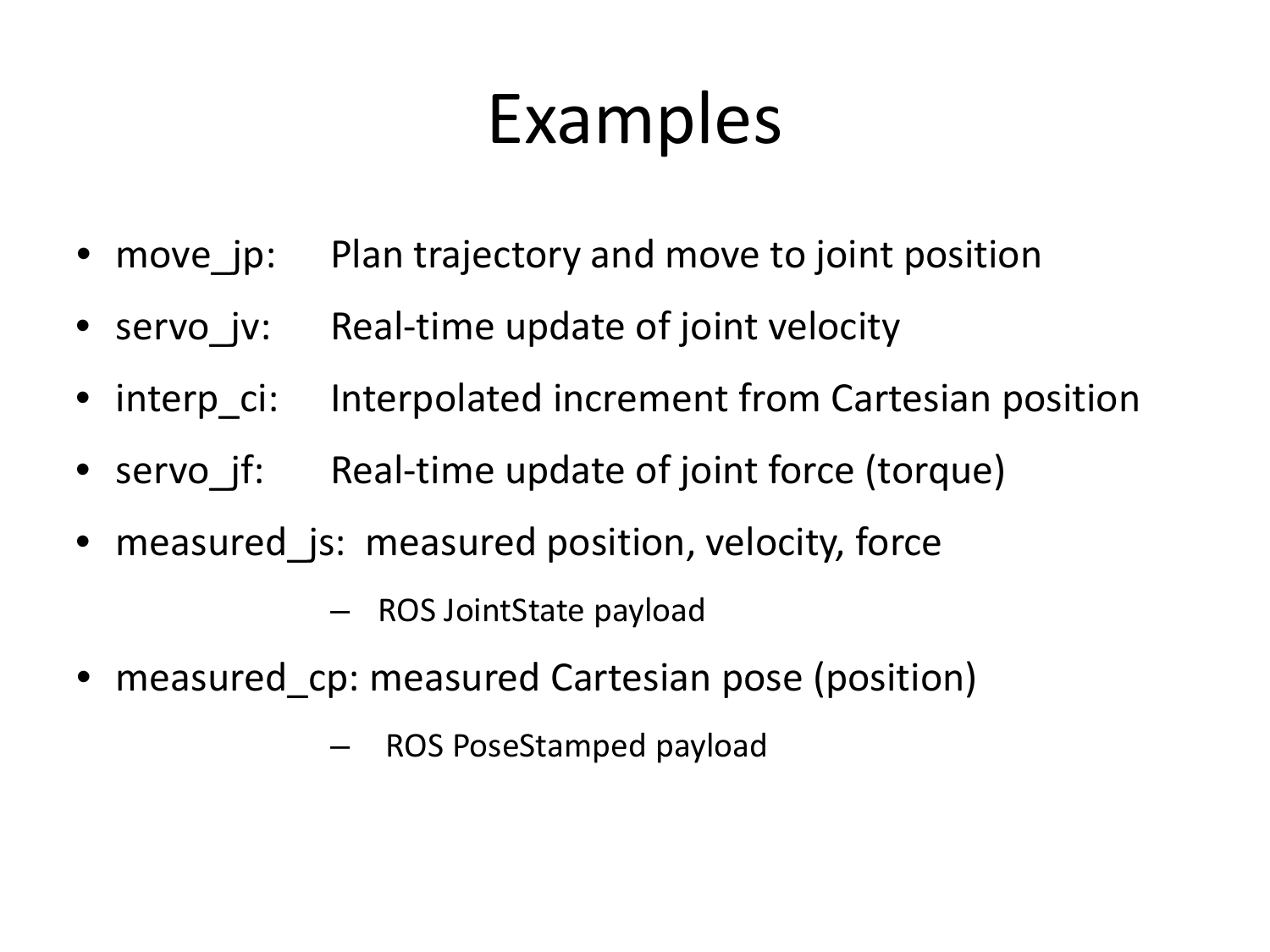## Examples

- •move jp: Plan trajectory and move to joint position
- servo\_jv: Real‐time update of joint velocity
- interp\_ci: Interpolated increment from Cartesian position
- servo jf: Real-time update of joint force (torque)
- • measured\_js: measured position, velocity, force
	- ROS JointState payload
- •measured cp: measured Cartesian pose (position)
	- ROS PoseStamped payload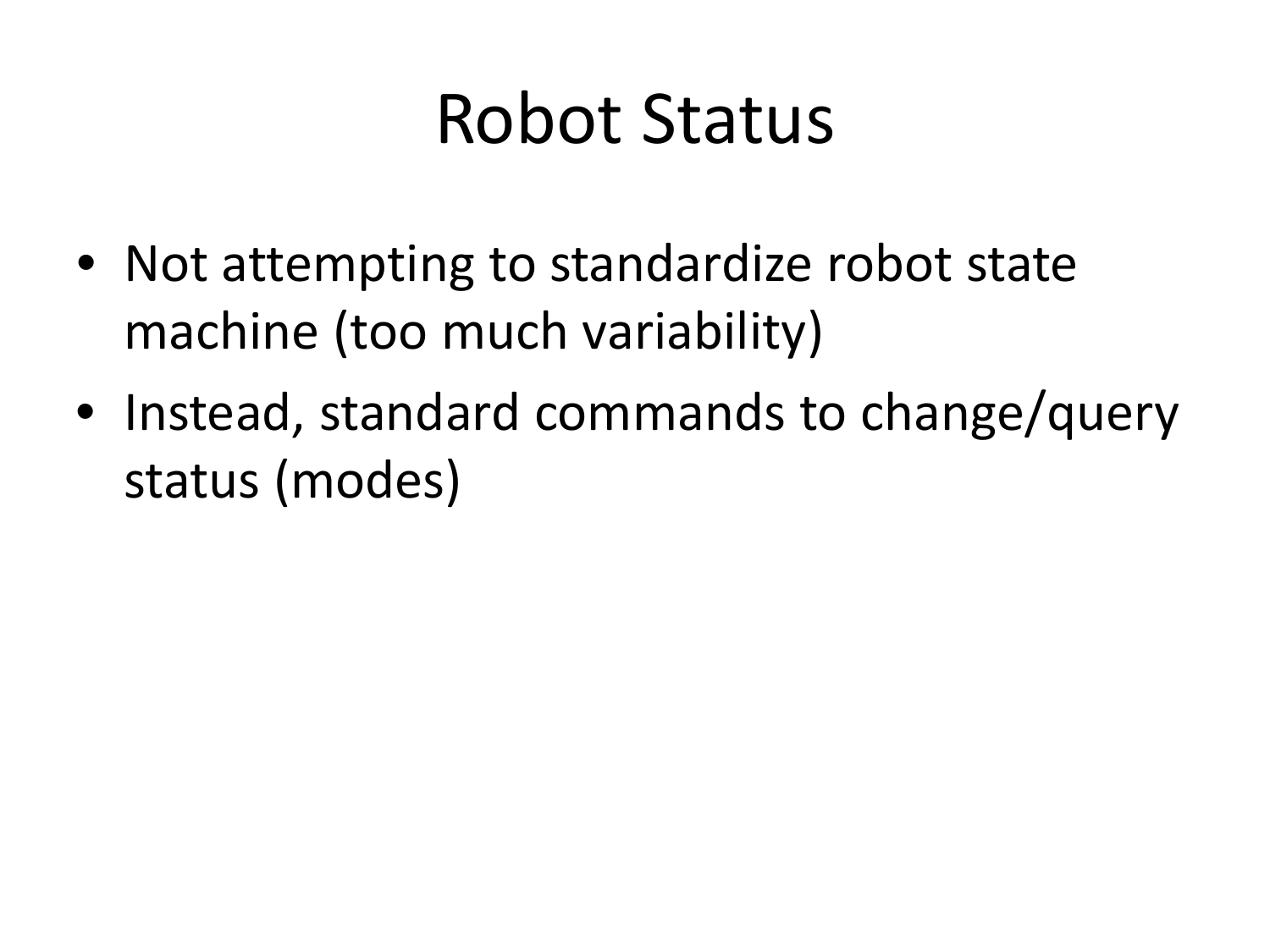## Robot Status

- Not attempting to standardize robot state machine (too much variability)
- Instead, standard commands to change/query status (modes)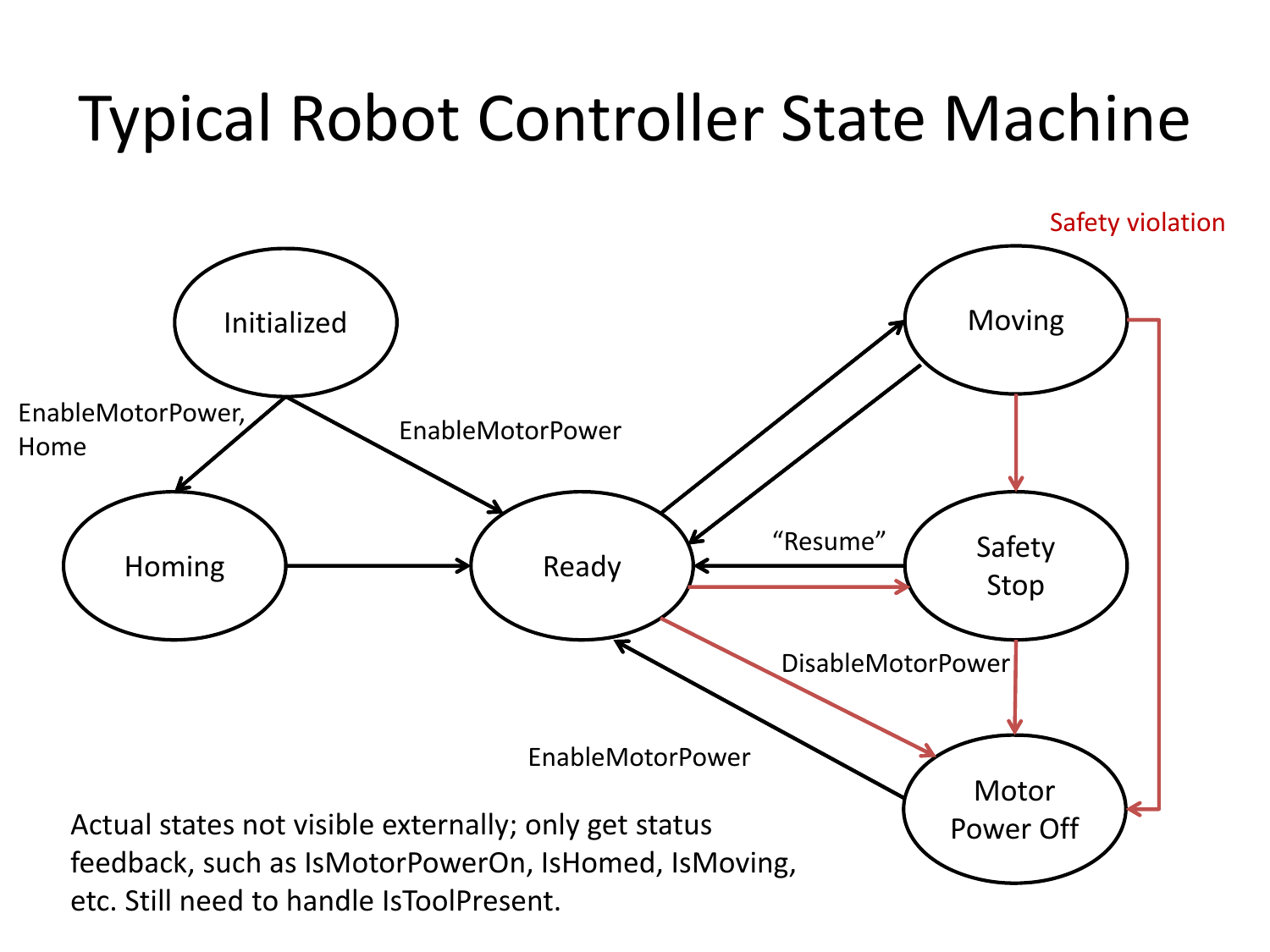### Typical Robot Controller State Machine

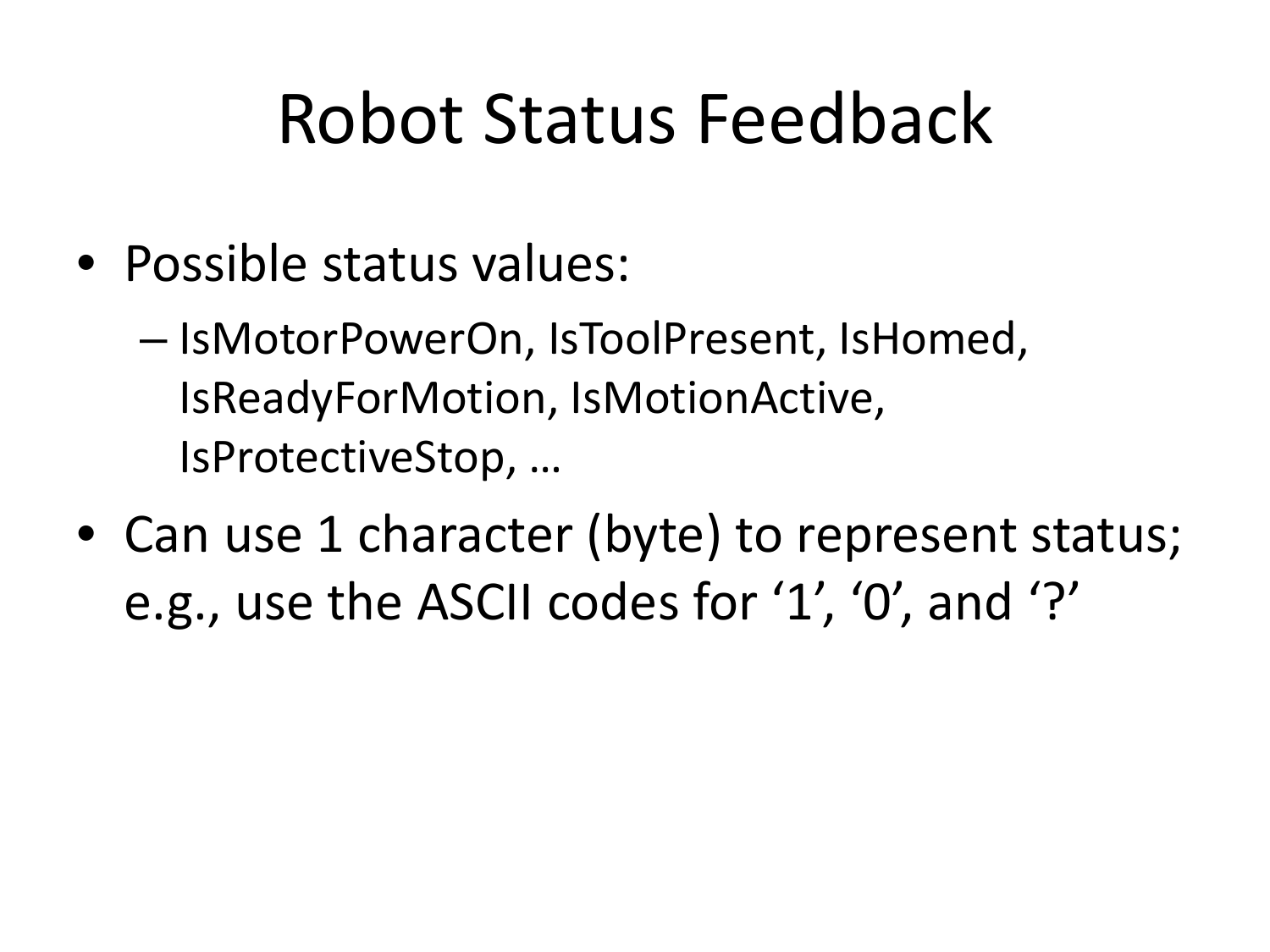## Robot Status Feedback

- Possible status values:
	- – $-$  IsMotorPowerOn, IsToolPresent, IsHomed, IsReadyForMotion, IsMotionActive, IsProtectiveStop, …
- Can use 1 character (byte) to represent status; e.g., use the ASCII codes for '1', '0', and '?'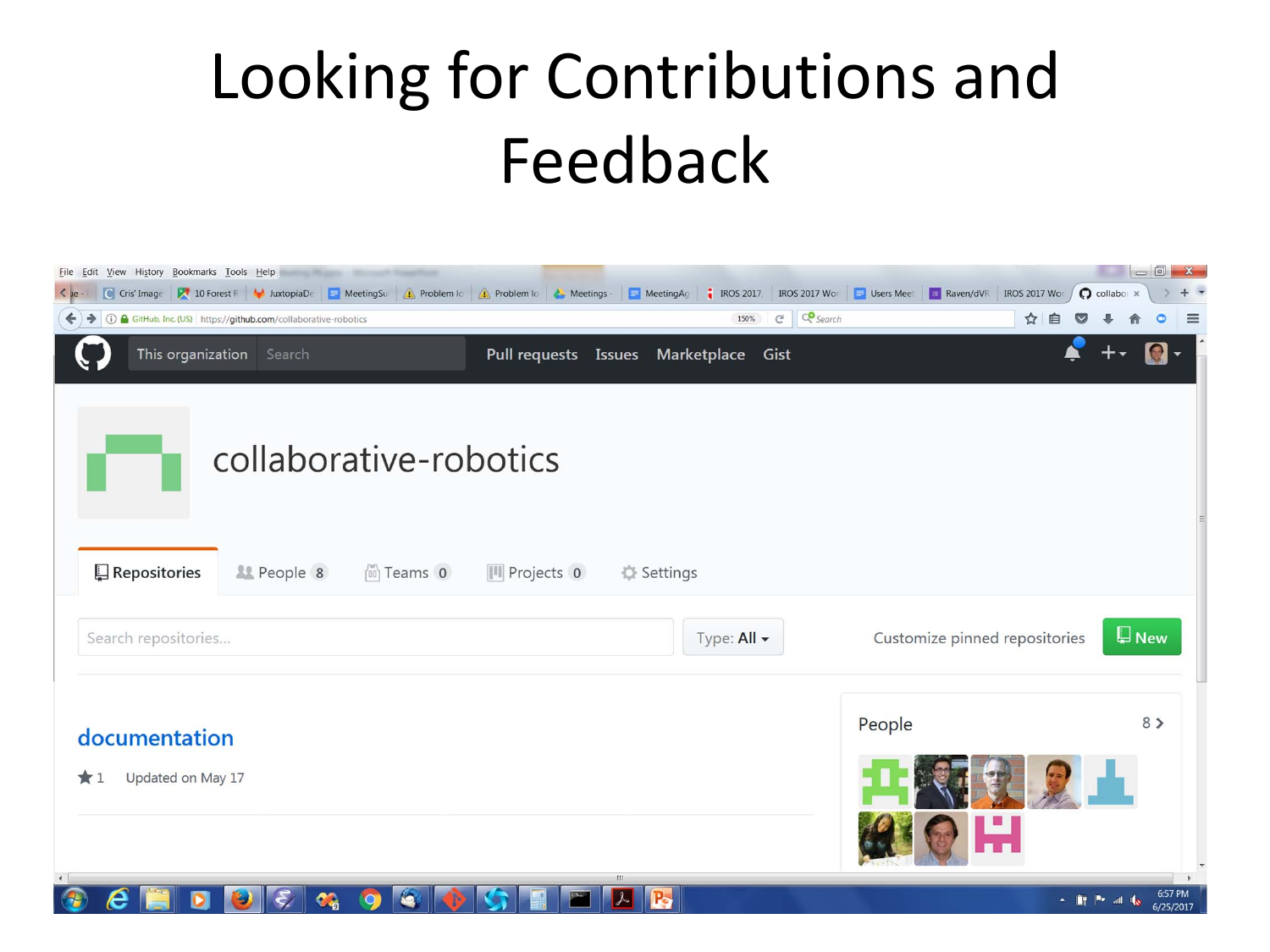## Looking for Contributions and Feedback